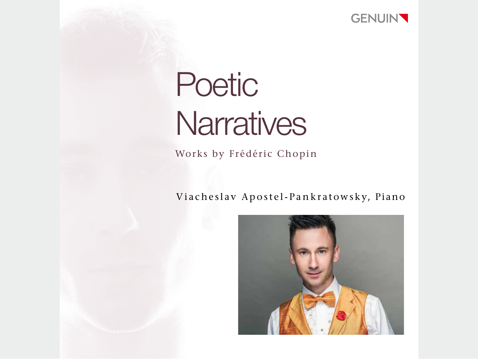

# Poetic Narratives

Works by Frédéric Chopin

Viacheslav Apostel-Pankratowsky, Piano

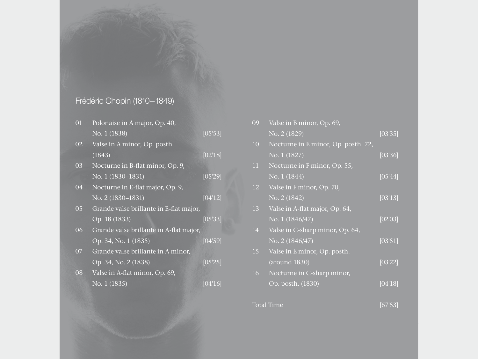#### Frédéric Chopin (1810–1849)

| 01 | Polonaise in A major, Op. 40,           |         |
|----|-----------------------------------------|---------|
|    | No. 1 (1838)                            | [05'53] |
| 02 | Valse in A minor, Op. posth.            |         |
|    | (1843)                                  | [02'18] |
| 03 | Nocturne in B-flat minor, Op. 9,        |         |
|    | No. 1 (1830–1831)                       | [05'29] |
| 04 | Nocturne in E-flat major, Op. 9,        |         |
|    | No. 2 (1830-1831)                       | [04'12] |
| 05 | Grande valse brillante in E-flat major, |         |
|    | Op. $18(1833)$                          | [05'33] |
| 06 | Grande valse brillante in A-flat major, |         |
|    | Op. 34, No. 1 (1835)                    | [04'59] |
| 07 | Grande valse brillante in A minor,      |         |
|    | Op. 34, No. 2 (1838)                    | [05'25] |
| 08 | Valse in A-flat minor, Op. 69,          |         |
|    | No. 1 (1835)                            | [04'16] |
|    |                                         |         |

| 09 | Valse in B minor, Op. 69,           |         |
|----|-------------------------------------|---------|
|    | No. 2 (1829)                        | [03'35] |
| 10 | Nocturne in E minor, Op. posth. 72, |         |
|    | $\overline{\rm No.~1~(1827)}$       | [03'36] |
| 11 | Nocturne in F minor, Op. 55,        |         |
|    | No. 1 (1844)                        | [05'44] |
| 12 | Valse in F minor, Op. 70,           |         |
|    | No. 2 (1842)                        | [03'13] |
| 13 | Valse in A-flat major, Op. 64,      |         |
|    | No. 1 (1846/47)                     | [02'03] |
| 14 | Valse in C-sharp minor, Op. 64,     |         |
|    | No. 2 (1846/47)                     | [03'51] |
| 15 | Valse in E minor, Op. posth.        |         |
|    | (around 1830)                       | [03'22] |
| 16 | Nocturne in C-sharp minor,          |         |
|    | Op. posth. (1830)                   | [04'18] |
|    |                                     |         |
|    |                                     |         |

Total Time [67'53]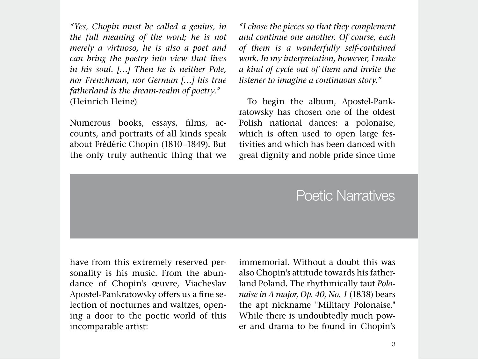*"Yes, Chopin must be called a genius, in the full meaning of the word; he is not merely a virtuoso, he is also a poet and can bring the poetry into view that lives in his soul. […] Then he is neither Pole, nor Frenchman, nor German […] his true fatherland is the dream-realm of poetry."* (Heinrich Heine)

Numerous books, essays, films, accounts, and portraits of all kinds speak about Frédéric Chopin (1810–1849). But the only truly authentic thing that we

*"I chose the pieces so that they complement and continue one another. Of course, each of them is a wonderfully self-contained work. In my interpretation, however, I make a kind of cycle out of them and invite the listener to imagine a continuous story."* 

To begin the album, Apostel-Pankratowsky has chosen one of the oldest Polish national dances: a polonaise, which is often used to open large festivities and which has been danced with great dignity and noble pride since time

### Poetic Narratives

have from this extremely reserved personality is his music. From the abundance of Chopin's œuvre, Viacheslav Apostel-Pankratowsky offers us a fine selection of nocturnes and waltzes, opening a door to the poetic world of this incomparable artist:

immemorial. Without a doubt this was also Chopin's attitude towards his fatherland Poland. The rhythmically taut *Polonaise in A major, Op. 40, No. 1* (1838) bears the apt nickname "Military Polonaise." While there is undoubtedly much power and drama to be found in Chopin's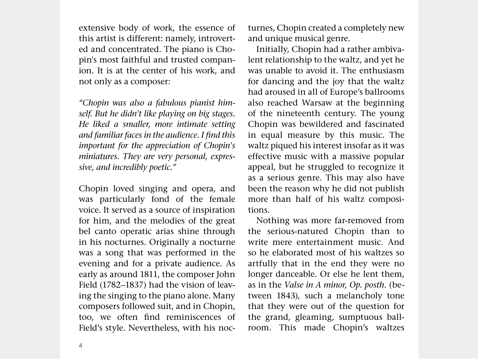extensive body of work, the essence of this artist is different: namely, introverted and concentrated. The piano is Chopin's most faithful and trusted companion. It is at the center of his work, and not only as a composer:

*"Chopin was also a fabulous pianist himself. But he didn't like playing on big stages. He liked a smaller, more intimate setting and familiar faces in the audience. I find this important for the appreciation of Chopin's miniatures. They are very personal, expressive, and incredibly poetic."*

Chopin loved singing and opera, and was particularly fond of the female voice. It served as a source of inspiration for him, and the melodies of the great bel canto operatic arias shine through in his nocturnes. Originally a nocturne was a song that was performed in the evening and for a private audience. As early as around 1811, the composer John Field (1782–1837) had the vision of leaving the singing to the piano alone. Many composers followed suit, and in Chopin, too, we often find reminiscences of Field's style. Nevertheless, with his nocturnes, Chopin created a completely new and unique musical genre.

Initially, Chopin had a rather ambivalent relationship to the waltz, and yet he was unable to avoid it. The enthusiasm for dancing and the joy that the waltz had aroused in all of Europe's ballrooms also reached Warsaw at the beginning of the nineteenth century. The young Chopin was bewildered and fascinated in equal measure by this music. The waltz piqued his interest insofar as it was effective music with a massive popular appeal, but he struggled to recognize it as a serious genre. This may also have been the reason why he did not publish more than half of his waltz compositions.

Nothing was more far-removed from the serious-natured Chopin than to write mere entertainment music. And so he elaborated most of his waltzes so artfully that in the end they were no longer danceable. Or else he lent them, as in the *Valse in A minor, Op. posth.* (between 1843), such a melancholy tone that they were out of the question for the grand, gleaming, sumptuous ballroom. This made Chopin's waltzes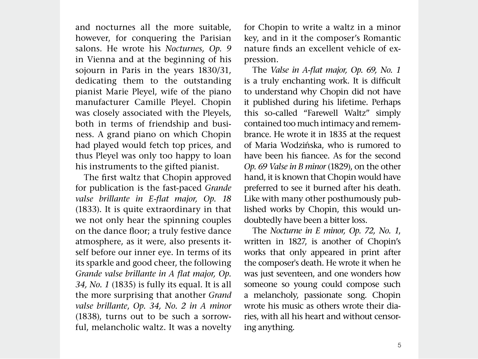and nocturnes all the more suitable, however, for conquering the Parisian salons. He wrote his *Nocturnes, Op. 9* in Vienna and at the beginning of his sojourn in Paris in the years 1830/31, dedicating them to the outstanding pianist Marie Pleyel, wife of the piano manufacturer Camille Pleyel. Chopin was closely associated with the Pleyels, both in terms of friendship and business. A grand piano on which Chopin had played would fetch top prices, and thus Pleyel was only too happy to loan his instruments to the gifted pianist.

The first waltz that Chopin approved for publication is the fast-paced *Grande valse brillante in E-flat major, Op. 18*  (1833). It is quite extraordinary in that we not only hear the spinning couples on the dance floor; a truly festive dance atmosphere, as it were, also presents itself before our inner eye. In terms of its its sparkle and good cheer, the following *Grande valse brillante in A flat major, Op. 34, No. 1* (1835) is fully its equal. It is all the more surprising that another *Grand valse brillante*, *Op. 34, No. 2 in A minor* (1838), turns out to be such a sorrowful, melancholic waltz. It was a novelty

for Chopin to write a waltz in a minor key, and in it the composer's Romantic nature finds an excellent vehicle of expression.

The *Valse in A-flat major, Op. 69, No. 1* is a truly enchanting work. It is difficult to understand why Chopin did not have it published during his lifetime. Perhaps this so-called "Farewell Waltz" simply contained too much intimacy and remembrance. He wrote it in 1835 at the request of Maria Wodzińska, who is rumored to have been his fiancee. As for the second *Op. 69 Valse in B minor* (1829), on the other hand, it is known that Chopin would have preferred to see it burned after his death. Like with many other posthumously published works by Chopin, this would undoubtedly have been a bitter loss.

The *Nocturne in E minor, Op. 72, No. 1*, written in 1827, is another of Chopin's works that only appeared in print after the composer's death. He wrote it when he was just seventeen, and one wonders how someone so young could compose such a melancholy, passionate song. Chopin wrote his music as others wrote their diaries, with all his heart and without censoring anything.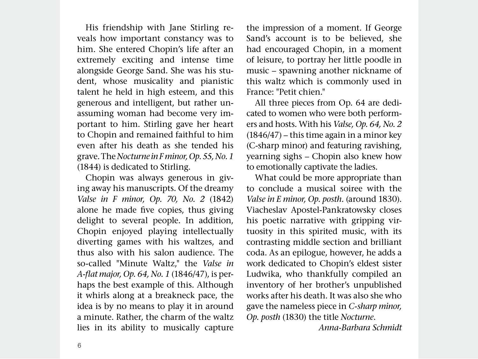His friendship with Jane Stirling reveals how important constancy was to him. She entered Chopin's life after an extremely exciting and intense time alongside George Sand. She was his student, whose musicality and pianistic talent he held in high esteem, and this generous and intelligent, but rather unassuming woman had become very important to him. Stirling gave her heart to Chopin and remained faithful to him even after his death as she tended his grave. The *Nocturne in F minor, Op. 55, No. 1* (1844) is dedicated to Stirling.

Chopin was always generous in giving away his manuscripts. Of the dreamy *Valse in F minor, Op. 70, No. 2* (1842) alone he made five copies, thus giving delight to several people. In addition, Chopin enjoyed playing intellectually diverting games with his waltzes, and thus also with his salon audience. The so-called "Minute Waltz," the *Valse in A-flat major, Op. 64, No. 1* (1846/47), is perhaps the best example of this. Although it whirls along at a breakneck pace, the idea is by no means to play it in around a minute. Rather, the charm of the waltz lies in its ability to musically capture

the impression of a moment. If George Sand's account is to be believed, she had encouraged Chopin, in a moment of leisure, to portray her little poodle in music – spawning another nickname of this waltz which is commonly used in France: "Petit chien."

All three pieces from Op. 64 are dedicated to women who were both performers and hosts. With his *Valse, Op. 64, No. 2* (1846/47) – this time again in a minor key (C-sharp minor) and featuring ravishing, yearning sighs – Chopin also knew how to emotionally captivate the ladies.

What could be more appropriate than to conclude a musical soiree with the *Valse in E minor, Op. posth.* (around 1830). Viacheslav Apostel-Pankratowsky closes his poetic narrative with gripping virtuosity in this spirited music, with its contrasting middle section and brilliant coda. As an epilogue, however, he adds a work dedicated to Chopin's eldest sister Ludwika, who thankfully compiled an inventory of her brother's unpublished works after his death. It was also she who gave the nameless piece in *C-sharp minor, Op. posth* (1830) the title *Nocturne*.

*Anna-Barbara Schmidt*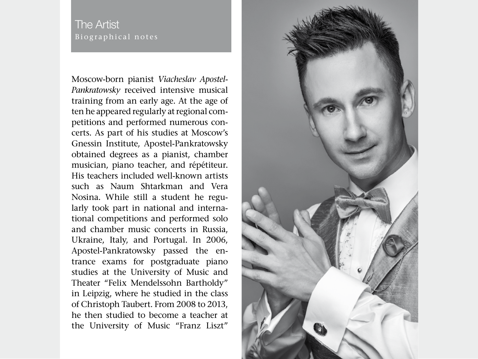#### The Artist Biographical notes

Moscow-born pianist *Viacheslav Apostel-Pankratowsky* received intensive musical training from an early age. At the age of ten he appeared regularly at regional competitions and performed numerous concerts. As part of his studies at Moscow's Gnessin Institute, Apostel-Pankratowsky obtained degrees as a pianist, chamber musician, piano teacher, and répétiteur. His teachers included well-known artists such as Naum Shtarkman and Vera Nosina. While still a student he regularly took part in national and international competitions and performed solo and chamber music concerts in Russia, Ukraine, Italy, and Portugal. In 2006, Apostel-Pankratowsky passed the entrance exams for postgraduate piano studies at the University of Music and Theater "Felix Mendelssohn Bartholdy" in Leipzig, where he studied in the class of Christoph Taubert. From 2008 to 2013, he then studied to become a teacher at the University of Music "Franz Liszt"

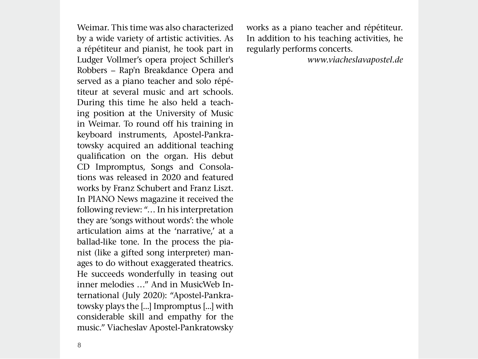Weimar. This time was also characterized by a wide variety of artistic activities. As a répétiteur and pianist, he took part in Ludger Vollmer's opera project Schiller's Robbers – Rap'n Breakdance Opera and served as a piano teacher and solo répétiteur at several music and art schools. During this time he also held a teaching position at the University of Music in Weimar. To round off his training in keyboard instruments, Apostel-Pankratowsky acquired an additional teaching qualification on the organ. His debut CD Impromptus, Songs and Consolations was released in 2020 and featured works by Franz Schubert and Franz Liszt. In PIANO News magazine it received the following review: "… In his interpretation they are 'songs without words': the whole articulation aims at the 'narrative,' at a ballad-like tone. In the process the pianist (like a gifted song interpreter) manages to do without exaggerated theatrics. He succeeds wonderfully in teasing out inner melodies …" And in MusicWeb International (July 2020): "Apostel-Pankratowsky plays the [...] Impromptus [...] with considerable skill and empathy for the music." Viacheslav Apostel-Pankratowsky

works as a piano teacher and répétiteur. In addition to his teaching activities, he regularly performs concerts.

*www.viacheslavapostel.de*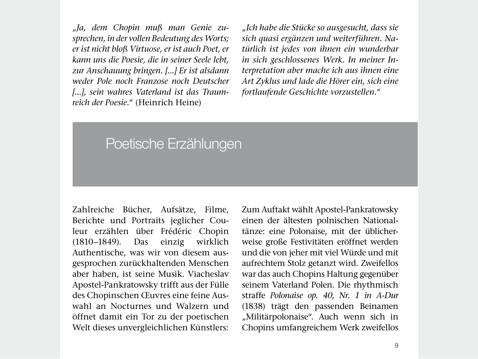*"Ja, dem Chopin muß man Genie zusprechen, in der vollen Bedeutung des Worts; er ist nicht bloß Virtuose, er ist auch Poet, er kann uns die Poesie, die in seiner Seele lebt, zur Anschauung bringen. [...] Er ist alsdann weder Pole noch Franzose noch Deutscher [...], sein wahres Vaterland ist das Traumreich der Poesie."* (Heinrich Heine)

*"Ich habe die Stücke so ausgesucht, dass sie sich quasi ergänzen und weiterführen. Natürlich ist jedes von ihnen ein wunderbar in sich geschlossenes Werk. In meiner Interpretation aber mache ich aus ihnen eine Art Zyklus und lade die Hörer ein, sich eine fortlaufende Geschichte vorzustellen."* 

## Poetische Erzählungen

Zahlreiche Bücher, Aufsätze, Filme, Berichte und Portraits jeglicher Couleur erzählen über Frédéric Chopin (1810–1849). Das einzig wirklich Authentische, was wir von diesem ausgesprochen zurückhaltenden Menschen aber haben, ist seine Musik. Viacheslav Apostel-Pankratowsky trifft aus der Fülle des Chopinschen Œuvres eine feine Auswahl an Nocturnes und Walzern und öffnet damit ein Tor zu der poetischen Welt dieses unvergleichlichen Künstlers:

Zum Auftakt wählt Apostel-Pankratowsky einen der ältesten polnischen Nationaltänze: eine Polonaise, mit der üblicherweise große Festivitäten eröffnet werden und die von jeher mit viel Würde und mit aufrechtem Stolz getanzt wird. Zweifellos war das auch Chopins Haltung gegenüber seinem Vaterland Polen. Die rhythmisch straffe *Polonaise op. 40, Nr. 1 in ADur*  (1838) trägt den passenden Beinamen "Militärpolonaise". Auch wenn sich in Chopins umfangreichem Werk zweifellos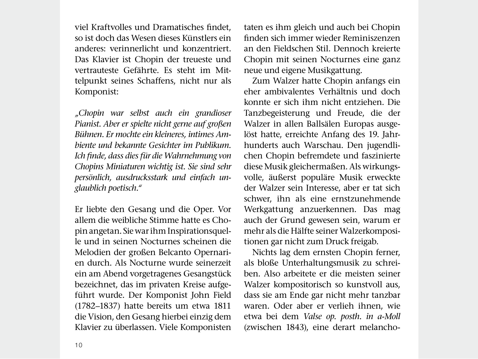viel Kraftvolles und Dramatisches findet, so ist doch das Wesen dieses Künstlers ein anderes: verinnerlicht und konzentriert. Das Klavier ist Chopin der treueste und vertrauteste Gefährte. Es steht im Mittelpunkt seines Schaffens, nicht nur als Komponist:

*"Chopin war selbst auch ein grandioser Pianist. Aber er spielte nicht gerne auf großen Bühnen. Er mochte ein kleineres, intimes Ambiente und bekannte Gesichter im Publikum. Ich finde, dass dies für die Wahrnehmung von Chopins Miniaturen wichtig ist. Sie sind sehr persönlich, ausdrucksstark und einfach unglaublich poetisch."*

Er liebte den Gesang und die Oper. Vor allem die weibliche Stimme hatte es Chopin angetan. Sie war ihm Inspirationsquelle und in seinen Nocturnes scheinen die Melodien der großen Belcanto Opernarien durch. Als Nocturne wurde seinerzeit ein am Abend vorgetragenes Gesangstück bezeichnet, das im privaten Kreise aufgeführt wurde. Der Komponist John Field (1782–1837) hatte bereits um etwa 1811 die Vision, den Gesang hierbei einzig dem Klavier zu überlassen. Viele Komponisten taten es ihm gleich und auch bei Chopin finden sich immer wieder Reminiszenzen an den Fieldschen Stil. Dennoch kreierte Chopin mit seinen Nocturnes eine ganz neue und eigene Musikgattung.

Zum Walzer hatte Chopin anfangs ein eher ambivalentes Verhältnis und doch konnte er sich ihm nicht entziehen. Die Tanzbegeisterung und Freude, die der Walzer in allen Ballsälen Europas ausgelöst hatte, erreichte Anfang des 19. Jahrhunderts auch Warschau. Den jugendlichen Chopin befremdete und faszinierte diese Musik gleichermaßen. Als wirkungsvolle, äußerst populäre Musik erweckte der Walzer sein Interesse, aber er tat sich schwer, ihn als eine ernstzunehmende Werkgattung anzuerkennen. Das mag auch der Grund gewesen sein, warum er mehr als die Hälfte seiner Walzerkompositionen gar nicht zum Druck freigab.

Nichts lag dem ernsten Chopin ferner, als bloße Unterhaltungsmusik zu schreiben. Also arbeitete er die meisten seiner Walzer kompositorisch so kunstvoll aus, dass sie am Ende gar nicht mehr tanzbar waren. Oder aber er verlieh ihnen, wie etwa bei dem *Valse op. posth. in a-Moll*  (zwischen 1843), eine derart melancho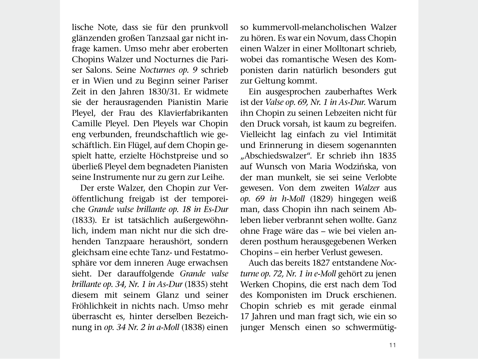lische Note, dass sie für den prunkvoll glänzenden großen Tanzsaal gar nicht infrage kamen. Umso mehr aber eroberten Chopins Walzer und Nocturnes die Pariser Salons. Seine *Nocturnes op. 9* schrieb er in Wien und zu Beginn seiner Pariser Zeit in den Jahren 1830/31. Er widmete sie der herausragenden Pianistin Marie Pleyel, der Frau des Klavierfabrikanten Camille Pleyel. Den Pleyels war Chopin eng verbunden, freundschaftlich wie geschäftlich. Ein Flügel, auf dem Chopin gespielt hatte, erzielte Höchstpreise und so überließ Pleyel dem begnadeten Pianisten seine Instrumente nur zu gern zur Leihe.

Der erste Walzer, den Chopin zur Veröffentlichung freigab ist der temporeiche *Grande valse brillante op. 18 in Es-Dur*  (1833). Er ist tatsächlich außergewöhnlich, indem man nicht nur die sich drehenden Tanzpaare heraushört, sondern gleichsam eine echte Tanz- und Festatmosphäre vor dem inneren Auge erwachsen sieht. Der darauffolgende *Grande valse brillante op. 34, Nr. 1 in As-Dur* (1835) steht diesem mit seinem Glanz und seiner Fröhlichkeit in nichts nach. Umso mehr überrascht es, hinter derselben Bezeichnung in *op. 34 Nr. 2 in a-Moll* (1838) einen

so kummervoll-melancholischen Walzer zu hören. Es war ein Novum, dass Chopin einen Walzer in einer Molltonart schrieb, wobei das romantische Wesen des Komponisten darin natürlich besonders gut zur Geltung kommt.

Ein ausgesprochen zauberhaftes Werk ist der *Valse op. 69, Nr. 1 in As-Dur*. Warum ihn Chopin zu seinen Lebzeiten nicht für den Druck vorsah, ist kaum zu begreifen. Vielleicht lag einfach zu viel Intimität und Erinnerung in diesem sogenannten "Abschiedswalzer". Er schrieb ihn 1835 auf Wunsch von Maria Wodzińska, von der man munkelt, sie sei seine Verlobte gewesen. Von dem zweiten *Walzer* aus *op. 69 in h-Moll* (1829) hingegen weiß man, dass Chopin ihn nach seinem Ableben lieber verbrannt sehen wollte. Ganz ohne Frage wäre das – wie bei vielen anderen posthum herausgegebenen Werken Chopins – ein herber Verlust gewesen.

Auch das bereits 1827 entstandene *Nocturne op. 72, Nr. 1 in e-Moll* gehört zu jenen Werken Chopins, die erst nach dem Tod des Komponisten im Druck erschienen. Chopin schrieb es mit gerade einmal 17 Jahren und man fragt sich, wie ein so junger Mensch einen so schwermütig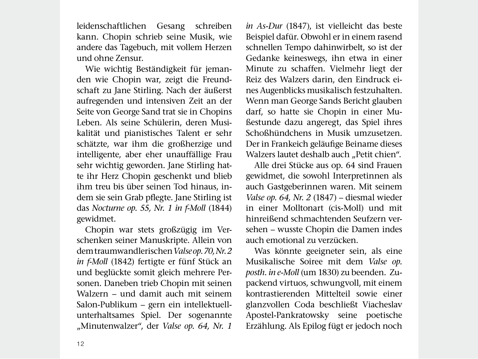leidenschaftlichen Gesang schreiben kann. Chopin schrieb seine Musik, wie andere das Tagebuch, mit vollem Herzen und ohne Zensur.

Wie wichtig Beständigkeit für jemanden wie Chopin war, zeigt die Freundschaft zu Jane Stirling. Nach der äußerst aufregenden und intensiven Zeit an der Seite von George Sand trat sie in Chopins Leben. Als seine Schülerin, deren Musikalität und pianistisches Talent er sehr schätzte, war ihm die großherzige und intelligente, aber eher unauffällige Frau sehr wichtig geworden. Jane Stirling hatte ihr Herz Chopin geschenkt und blieb ihm treu bis über seinen Tod hinaus, indem sie sein Grab pflegte. Jane Stirling ist das *Nocturne op. 55, Nr. 1 in f-Moll* (1844) gewidmet.

Chopin war stets großzügig im Verschenken seiner Manuskripte. Allein von dem traumwandlerischen *Valse op. 70, Nr. 2 in f-Moll* (1842) fertigte er fünf Stück an und beglückte somit gleich mehrere Personen. Daneben trieb Chopin mit seinen Walzern – und damit auch mit seinem Salon-Publikum – gern ein intellektuellunterhaltsames Spiel. Der sogenannte "Minutenwalzer", der *Valse op. 64, Nr. 1* 

*in As-Dur* (1847), ist vielleicht das beste Beispiel dafür. Obwohl er in einem rasend schnellen Tempo dahinwirbelt, so ist der Gedanke keineswegs, ihn etwa in einer Minute zu schaffen. Vielmehr liegt der Reiz des Walzers darin, den Eindruck eines Augenblicks musikalisch festzuhalten. Wenn man George Sands Bericht glauben darf, so hatte sie Chopin in einer Mußestunde dazu angeregt, das Spiel ihres Schoßhündchens in Musik umzusetzen. Der in Frankeich geläufige Beiname dieses Walzers lautet deshalb auch "Petit chien".

Alle drei Stücke aus op. 64 sind Frauen gewidmet, die sowohl Interpretinnen als auch Gastgeberinnen waren. Mit seinem *Valse op. 64, Nr. 2* (1847) – diesmal wieder in einer Molltonart (cis-Moll) und mit hinreißend schmachtenden Seufzern versehen – wusste Chopin die Damen indes auch emotional zu verzücken.

Was könnte geeigneter sein, als eine Musikalische Soiree mit dem *Valse op. posth. in e-Moll* (um 1830) zu beenden. Zupackend virtuos, schwungvoll, mit einem kontrastierenden Mittelteil sowie einer glanzvollen Coda beschließt Viacheslav Apostel-Pankratowsky seine poetische Erzählung. Als Epilog fügt er jedoch noch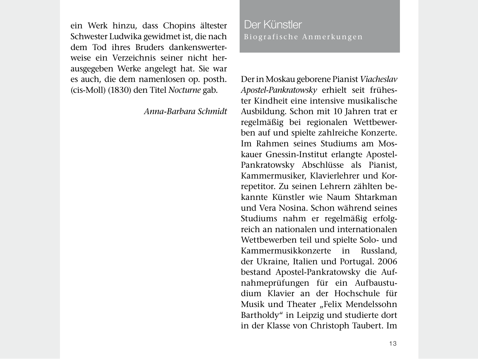ein Werk hinzu, dass Chopins ältester Schwester Ludwika gewidmet ist, die nach dem Tod ihres Bruders dankenswerterweise ein Verzeichnis seiner nicht herausgegeben Werke angelegt hat. Sie war es auch, die dem namenlosen op. posth. (cis-Moll) (1830) den Titel *Nocturne* gab.

*Anna-Barbara Schmidt*

Der Künstler Biografische Anmerkungen

Der in Moskau geborene Pianist *Viacheslav Apostel-Pankratowsky* erhielt seit frühester Kindheit eine intensive musikalische Ausbildung. Schon mit 10 Jahren trat er regelmäßig bei regionalen Wettbewerben auf und spielte zahlreiche Konzerte. Im Rahmen seines Studiums am Moskauer Gnessin-Institut erlangte Apostel-Pankratowsky Abschlüsse als Pianist, Kammermusiker, Klavierlehrer und Korrepetitor. Zu seinen Lehrern zählten bekannte Künstler wie Naum Shtarkman und Vera Nosina. Schon während seines Studiums nahm er regelmäßig erfolgreich an nationalen und internationalen Wettbewerben teil und spielte Solo- und Kammermusikkonzerte in Russland, der Ukraine, Italien und Portugal. 2006 bestand Apostel-Pankratowsky die Aufnahmeprüfungen für ein Aufbaustudium Klavier an der Hochschule für Musik und Theater "Felix Mendelssohn Bartholdy" in Leipzig und studierte dort in der Klasse von Christoph Taubert. Im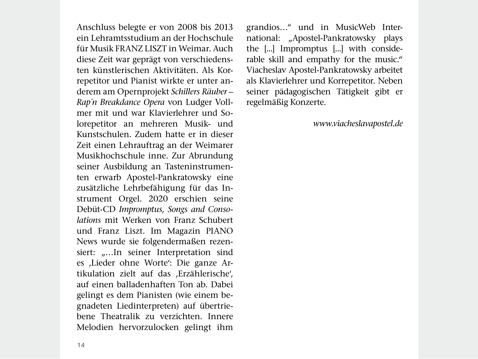Anschluss belegte er von 2008 bis 2013 ein Lehramtsstudium an der Hochschule für Musik FRANZ LISZT in Weimar. Auch diese Zeit war geprägt von verschiedensten künstlerischen Aktivitäten. Als Korrepetitor und Pianist wirkte er unter anderem am Opernprojekt *Schillers Räuber – Rap´n Breakdance Opera* von Ludger Vollmer mit und war Klavierlehrer und Solorepetitor an mehreren Musik- und Kunstschulen. Zudem hatte er in dieser Zeit einen Lehrauftrag an der Weimarer Musikhochschule inne. Zur Abrundung seiner Ausbildung an Tasteninstrumenten erwarb Apostel-Pankratowsky eine zusätzliche Lehrbefähigung für das Instrument Orgel. 2020 erschien seine Debüt-CD *Impromptus, Songs and Consolations* mit Werken von Franz Schubert und Franz Liszt. Im Magazin PIANO News wurde sie folgendermaßen rezensiert: "...In seiner Interpretation sind es ,Lieder ohne Worte': Die ganze Artikulation zielt auf das 'Erzählerische', auf einen balladenhaften Ton ab. Dabei gelingt es dem Pianisten (wie einem begnadeten Liedinterpreten) auf übertriebene Theatralik zu verzichten. Innere Melodien hervorzulocken gelingt ihm

grandios…" und in MusicWeb International: "Apostel-Pankratowsky plays the [...] Impromptus [...] with considerable skill and empathy for the music." Viacheslav Apostel-Pankratowsky arbeitet als Klavierlehrer und Korrepetitor. Neben seiner pädagogischen Tätigkeit gibt er regelmäßig Konzerte.

*www.viacheslavapostel.de*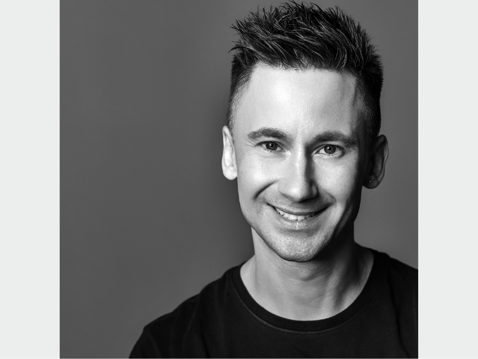